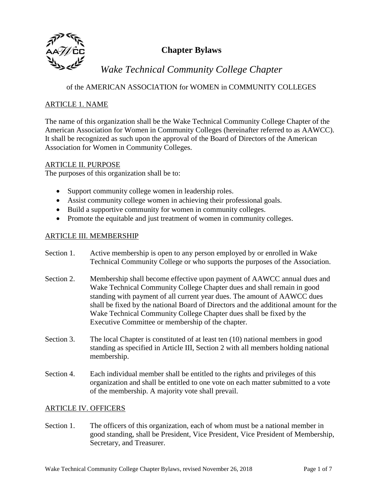

## **Chapter Bylaws**

# *Wake Technical Community College Chapter*

of the AMERICAN ASSOCIATION for WOMEN in COMMUNITY COLLEGES

## ARTICLE 1. NAME

The name of this organization shall be the Wake Technical Community College Chapter of the American Association for Women in Community Colleges (hereinafter referred to as AAWCC). It shall be recognized as such upon the approval of the Board of Directors of the American Association for Women in Community Colleges.

## ARTICLE II. PURPOSE

The purposes of this organization shall be to:

- Support community college women in leadership roles.
- Assist community college women in achieving their professional goals.
- Build a supportive community for women in community colleges.
- Promote the equitable and just treatment of women in community colleges.

## ARTICLE III. MEMBERSHIP

- Section 1. Active membership is open to any person employed by or enrolled in Wake Technical Community College or who supports the purposes of the Association.
- Section 2. Membership shall become effective upon payment of AAWCC annual dues and Wake Technical Community College Chapter dues and shall remain in good standing with payment of all current year dues. The amount of AAWCC dues shall be fixed by the national Board of Directors and the additional amount for the Wake Technical Community College Chapter dues shall be fixed by the Executive Committee or membership of the chapter.
- Section 3. The local Chapter is constituted of at least ten (10) national members in good standing as specified in Article III, Section 2 with all members holding national membership.
- Section 4. Each individual member shall be entitled to the rights and privileges of this organization and shall be entitled to one vote on each matter submitted to a vote of the membership. A majority vote shall prevail.

## ARTICLE IV. OFFICERS

Section 1. The officers of this organization, each of whom must be a national member in good standing, shall be President, Vice President, Vice President of Membership, Secretary, and Treasurer.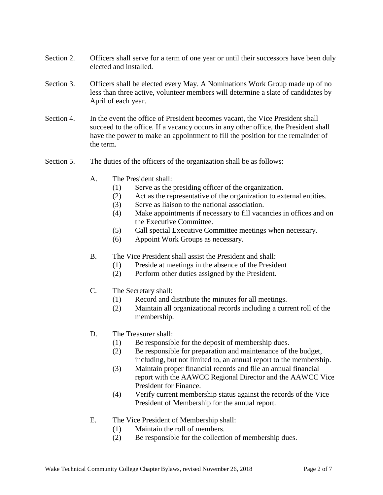- Section 2. Officers shall serve for a term of one year or until their successors have been duly elected and installed.
- Section 3. Officers shall be elected every May. A Nominations Work Group made up of no less than three active, volunteer members will determine a slate of candidates by April of each year.
- Section 4. In the event the office of President becomes vacant, the Vice President shall succeed to the office. If a vacancy occurs in any other office, the President shall have the power to make an appointment to fill the position for the remainder of the term.
- Section 5. The duties of the officers of the organization shall be as follows:
	- A. The President shall:
		- (1) Serve as the presiding officer of the organization.
		- (2) Act as the representative of the organization to external entities.
		- (3) Serve as liaison to the national association.
		- (4) Make appointments if necessary to fill vacancies in offices and on the Executive Committee.
		- (5) Call special Executive Committee meetings when necessary.
		- (6) Appoint Work Groups as necessary.
	- B. The Vice President shall assist the President and shall:
		- (1) Preside at meetings in the absence of the President
		- (2) Perform other duties assigned by the President.
	- C. The Secretary shall:
		- (1) Record and distribute the minutes for all meetings.
		- (2) Maintain all organizational records including a current roll of the membership.
	- D. The Treasurer shall:
		- (1) Be responsible for the deposit of membership dues.
		- (2) Be responsible for preparation and maintenance of the budget, including, but not limited to, an annual report to the membership.
		- (3) Maintain proper financial records and file an annual financial report with the AAWCC Regional Director and the AAWCC Vice President for Finance.
		- (4) Verify current membership status against the records of the Vice President of Membership for the annual report.
	- E. The Vice President of Membership shall:
		- (1) Maintain the roll of members.
		- (2) Be responsible for the collection of membership dues.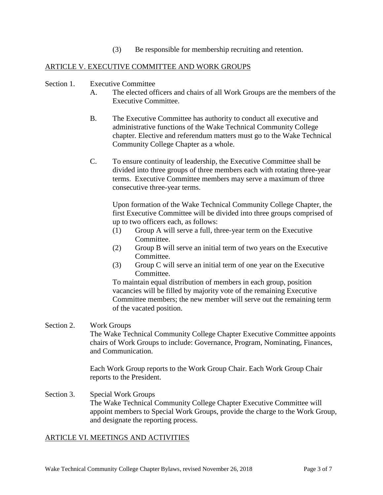(3) Be responsible for membership recruiting and retention.

## ARTICLE V. EXECUTIVE COMMITTEE AND WORK GROUPS

#### Section 1. Executive Committee

- A. The elected officers and chairs of all Work Groups are the members of the Executive Committee.
- B. The Executive Committee has authority to conduct all executive and administrative functions of the Wake Technical Community College chapter*.* Elective and referendum matters must go to the Wake Technical Community College Chapter as a whole.
- C. To ensure continuity of leadership, the Executive Committee shall be divided into three groups of three members each with rotating three-year terms. Executive Committee members may serve a maximum of three consecutive three-year terms.

Upon formation of the Wake Technical Community College Chapter, the first Executive Committee will be divided into three groups comprised of up to two officers each, as follows:

- (1) Group A will serve a full, three-year term on the Executive Committee.
- (2) Group B will serve an initial term of two years on the Executive Committee.
- (3) Group C will serve an initial term of one year on the Executive Committee.

To maintain equal distribution of members in each group, position vacancies will be filled by majority vote of the remaining Executive Committee members; the new member will serve out the remaining term of the vacated position.

#### Section 2. Work Groups

The Wake Technical Community College Chapter Executive Committee appoints chairs of Work Groups to include: Governance, Program, Nominating, Finances, and Communication.

Each Work Group reports to the Work Group Chair. Each Work Group Chair reports to the President.

Section 3. Special Work Groups The Wake Technical Community College Chapter Executive Committee will appoint members to Special Work Groups, provide the charge to the Work Group, and designate the reporting process.

#### ARTICLE VI. MEETINGS AND ACTIVITIES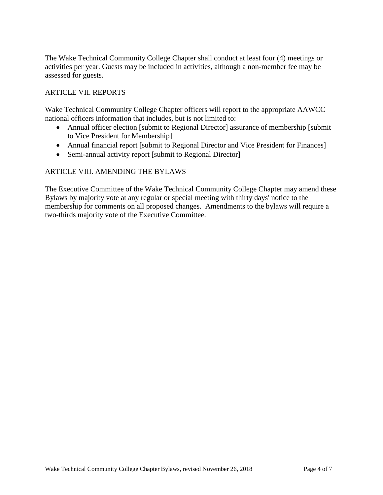The Wake Technical Community College Chapter shall conduct at least four (4) meetings or activities per year. Guests may be included in activities, although a non-member fee may be assessed for guests.

## ARTICLE VII. REPORTS

Wake Technical Community College Chapter officers will report to the appropriate AAWCC national officers information that includes, but is not limited to:

- Annual officer election [submit to Regional Director] assurance of membership [submit] to Vice President for Membership]
- Annual financial report [submit to Regional Director and Vice President for Finances]
- Semi-annual activity report [submit to Regional Director]

## ARTICLE VIII. AMENDING THE BYLAWS

The Executive Committee of the Wake Technical Community College Chapter may amend these Bylaws by majority vote at any regular or special meeting with thirty days' notice to the membership for comments on all proposed changes. Amendments to the bylaws will require a two-thirds majority vote of the Executive Committee.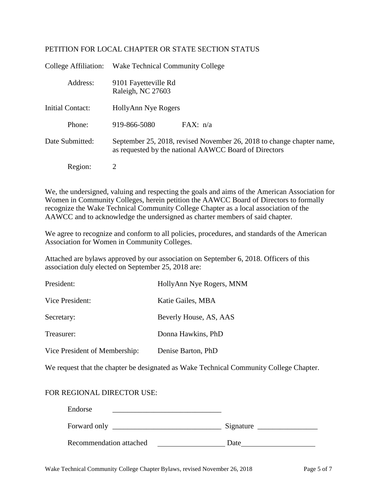### PETITION FOR LOCAL CHAPTER OR STATE SECTION STATUS

| College Affiliation: | <b>Wake Technical Community College</b>                                                                                        |  |
|----------------------|--------------------------------------------------------------------------------------------------------------------------------|--|
| Address:             | 9101 Fayetteville Rd<br>Raleigh, NC 27603                                                                                      |  |
| Initial Contact:     | HollyAnn Nye Rogers                                                                                                            |  |
| Phone:               | 919-866-5080<br>FAX: n/a                                                                                                       |  |
| Date Submitted:      | September 25, 2018, revised November 26, 2018 to change chapter name,<br>as requested by the national AAWCC Board of Directors |  |
| Region:              | 2                                                                                                                              |  |

We, the undersigned, valuing and respecting the goals and aims of the American Association for Women in Community Colleges, herein petition the AAWCC Board of Directors to formally recognize the Wake Technical Community College Chapter as a local association of the AAWCC and to acknowledge the undersigned as charter members of said chapter*.*

We agree to recognize and conform to all policies, procedures, and standards of the American Association for Women in Community Colleges.

Attached are bylaws approved by our association on September 6, 2018. Officers of this association duly elected on September 25, 2018 are:

| President:                    | HollyAnn Nye Rogers, MNM |
|-------------------------------|--------------------------|
| Vice President:               | Katie Gailes, MBA        |
| Secretary:                    | Beverly House, AS, AAS   |
| Treasurer:                    | Donna Hawkins, PhD       |
| Vice President of Membership: | Denise Barton, PhD       |

We request that the chapter be designated as Wake Technical Community College Chapter.

## FOR REGIONAL DIRECTOR USE:

| Endorse                 |           |
|-------------------------|-----------|
| Forward only            | Signature |
| Recommendation attached | Date      |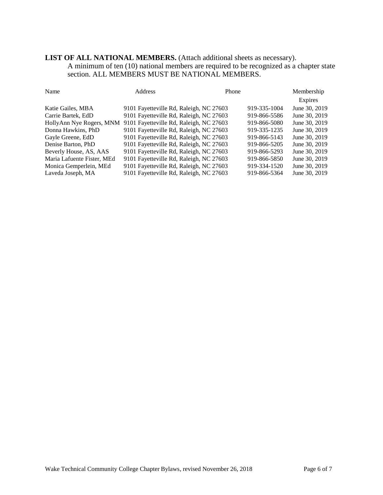## **LIST OF ALL NATIONAL MEMBERS.** (Attach additional sheets as necessary).

A minimum of ten (10) national members are required to be recognized as a chapter state section. ALL MEMBERS MUST BE NATIONAL MEMBERS.

| Name                       | Address                                 | Phone |              | Membership    |
|----------------------------|-----------------------------------------|-------|--------------|---------------|
|                            |                                         |       |              | Expires       |
| Katie Gailes, MBA          | 9101 Fayetteville Rd, Raleigh, NC 27603 |       | 919-335-1004 | June 30, 2019 |
| Carrie Bartek, EdD         | 9101 Fayetteville Rd, Raleigh, NC 27603 |       | 919-866-5586 | June 30, 2019 |
| HollyAnn Nye Rogers, MNM   | 9101 Fayetteville Rd, Raleigh, NC 27603 |       | 919-866-5080 | June 30, 2019 |
| Donna Hawkins, PhD         | 9101 Fayetteville Rd, Raleigh, NC 27603 |       | 919-335-1235 | June 30, 2019 |
| Gayle Greene, EdD          | 9101 Fayetteville Rd, Raleigh, NC 27603 |       | 919-866-5143 | June 30, 2019 |
| Denise Barton, PhD         | 9101 Fayetteville Rd, Raleigh, NC 27603 |       | 919-866-5205 | June 30, 2019 |
| Beverly House, AS, AAS     | 9101 Fayetteville Rd, Raleigh, NC 27603 |       | 919-866-5293 | June 30, 2019 |
| Maria Lafuente Fister, MEd | 9101 Fayetteville Rd, Raleigh, NC 27603 |       | 919-866-5850 | June 30, 2019 |
| Monica Gemperlein, MEd     | 9101 Fayetteville Rd, Raleigh, NC 27603 |       | 919-334-1520 | June 30, 2019 |
| Laveda Joseph, MA          | 9101 Fayetteville Rd, Raleigh, NC 27603 |       | 919-866-5364 | June 30, 2019 |